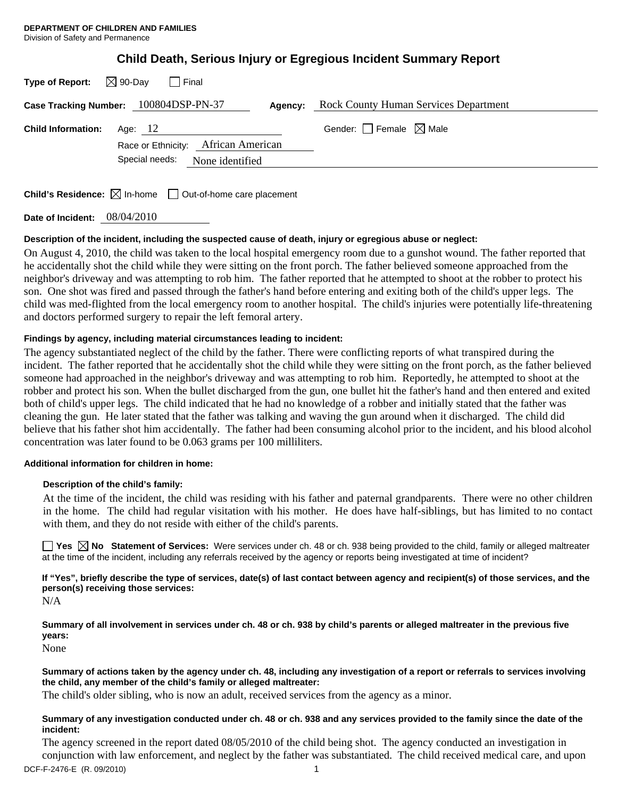| $\boxtimes$ 90-Day<br>Type of Report:<br>I Final |                                              |
|--------------------------------------------------|----------------------------------------------|
| Case Tracking Number: 100804DSP-PN-37<br>Agency: | <b>Rock County Human Services Department</b> |
| <b>Child Information:</b><br>Age: $12$           | Gender: $\Box$ Female $\boxtimes$ Male       |
| Race or Ethnicity: African American              |                                              |
| Special needs:<br>None identified                |                                              |
|                                                  |                                              |

# **Child Death, Serious Injury or Egregious Incident Summary Report**

**Child's Residence:**  $\boxtimes$  In-home  $\Box$  Out-of-home care placement

**Date of Incident:** 08/04/2010

## **Description of the incident, including the suspected cause of death, injury or egregious abuse or neglect:**

On August 4, 2010, the child was taken to the local hospital emergency room due to a gunshot wound. The father reported that he accidentally shot the child while they were sitting on the front porch. The father believed someone approached from the neighbor's driveway and was attempting to rob him. The father reported that he attempted to shoot at the robber to protect his son. One shot was fired and passed through the father's hand before entering and exiting both of the child's upper legs. The child was med-flighted from the local emergency room to another hospital. The child's injuries were potentially life-threatening and doctors performed surgery to repair the left femoral artery.

## **Findings by agency, including material circumstances leading to incident:**

The agency substantiated neglect of the child by the father. There were conflicting reports of what transpired during the incident. The father reported that he accidentally shot the child while they were sitting on the front porch, as the father believed someone had approached in the neighbor's driveway and was attempting to rob him. Reportedly, he attempted to shoot at the robber and protect his son. When the bullet discharged from the gun, one bullet hit the father's hand and then entered and exited both of child's upper legs. The child indicated that he had no knowledge of a robber and initially stated that the father was cleaning the gun. He later stated that the father was talking and waving the gun around when it discharged. The child did believe that his father shot him accidentally. The father had been consuming alcohol prior to the incident, and his blood alcohol concentration was later found to be 0.063 grams per 100 milliliters.

## **Additional information for children in home:**

## **Description of the child's family:**

 At the time of the incident, the child was residing with his father and paternal grandparents. There were no other children in the home. The child had regular visitation with his mother. He does have half-siblings, but has limited to no contact with them, and they do not reside with either of the child's parents.

**Yes No Statement of Services:** Were services under ch. 48 or ch. 938 being provided to the child, family or alleged maltreater at the time of the incident, including any referrals received by the agency or reports being investigated at time of incident?

**If "Yes", briefly describe the type of services, date(s) of last contact between agency and recipient(s) of those services, and the person(s) receiving those services:** 

N/A

**Summary of all involvement in services under ch. 48 or ch. 938 by child's parents or alleged maltreater in the previous five years:** 

None

**Summary of actions taken by the agency under ch. 48, including any investigation of a report or referrals to services involving the child, any member of the child's family or alleged maltreater:** 

The child's older sibling, who is now an adult, received services from the agency as a minor.

### **Summary of any investigation conducted under ch. 48 or ch. 938 and any services provided to the family since the date of the incident:**

The agency screened in the report dated 08/05/2010 of the child being shot. The agency conducted an investigation in conjunction with law enforcement, and neglect by the father was substantiated. The child received medical care, and upon